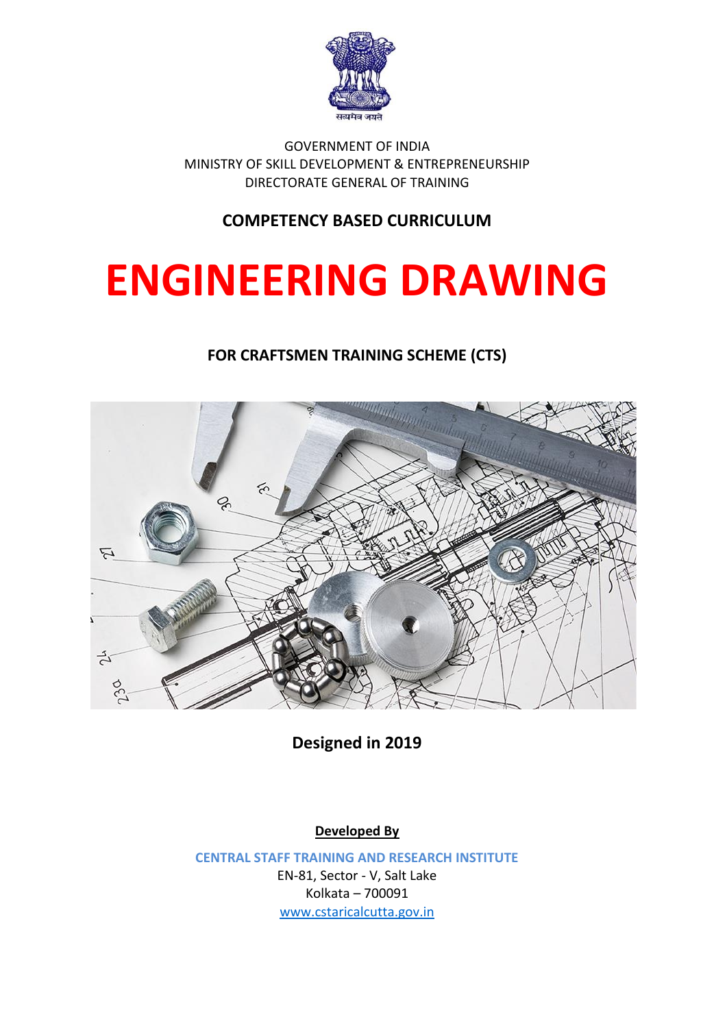

GOVERNMENT OF INDIA MINISTRY OF SKILL DEVELOPMENT & ENTREPRENEURSHIP DIRECTORATE GENERAL OF TRAINING

#### **COMPETENCY BASED CURRICULUM**

# **ENGINEERING DRAWING**

**FOR CRAFTSMEN TRAINING SCHEME (CTS)**



**Designed in 2019**

**Developed By**

**CENTRAL STAFF TRAINING AND RESEARCH INSTITUTE** EN-81, Sector - V, Salt Lake Kolkata – 700091 [www.cstaricalcutta.gov.in](http://www.cstaricalcutta.gov.in/)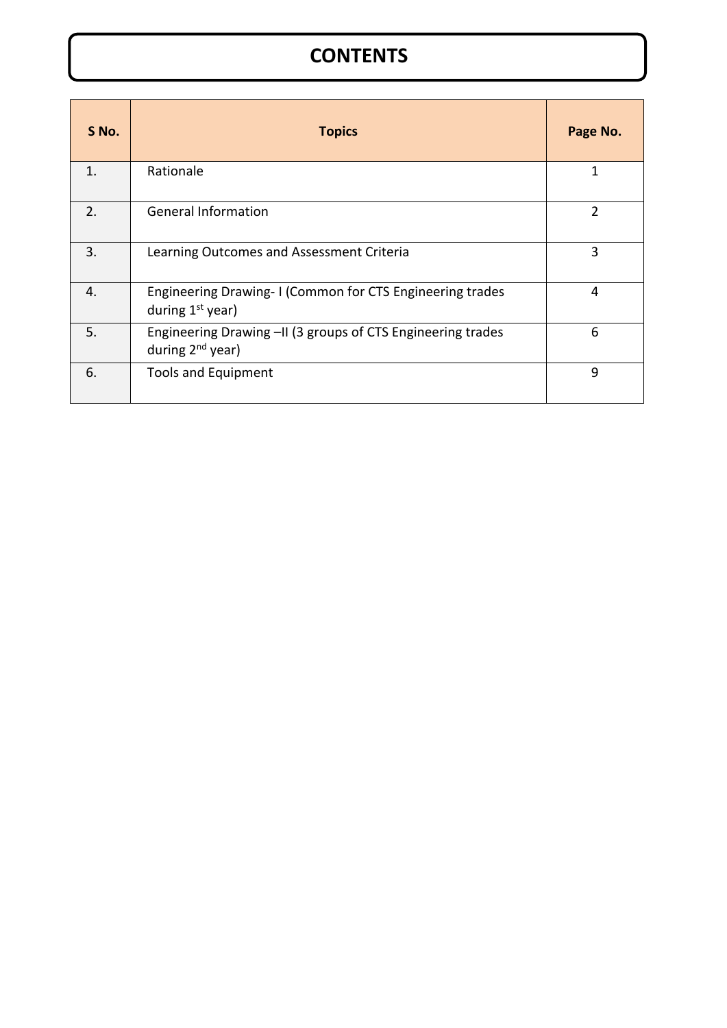## **CONTENTS**

| S No.          | <b>Topics</b>                                                                               | Page No. |
|----------------|---------------------------------------------------------------------------------------------|----------|
| $\mathbf{1}$ . | Rationale                                                                                   | 1        |
| 2.             | <b>General Information</b>                                                                  | 2        |
| 3.             | Learning Outcomes and Assessment Criteria                                                   | 3        |
| 4.             | Engineering Drawing-I (Common for CTS Engineering trades<br>during $1st$ year)              | 4        |
| 5.             | Engineering Drawing -II (3 groups of CTS Engineering trades<br>during 2 <sup>nd</sup> year) | 6        |
| 6.             | <b>Tools and Equipment</b>                                                                  | 9        |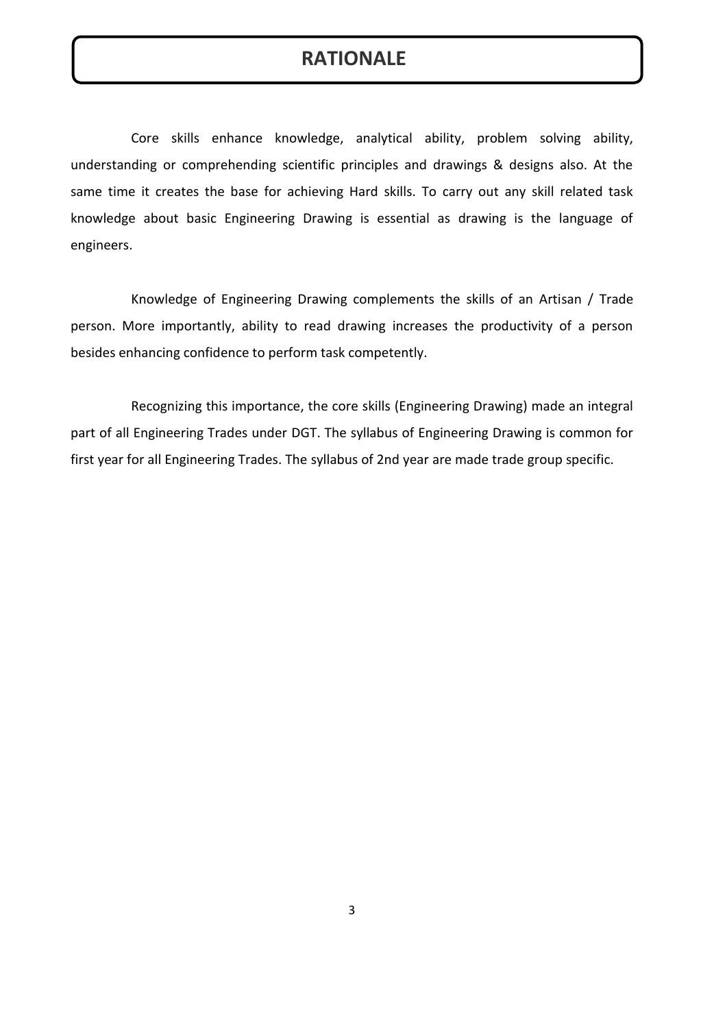#### **RATIONALE**

Core skills enhance knowledge, analytical ability, problem solving ability, understanding or comprehending scientific principles and drawings & designs also. At the same time it creates the base for achieving Hard skills. To carry out any skill related task knowledge about basic Engineering Drawing is essential as drawing is the language of engineers.

Knowledge of Engineering Drawing complements the skills of an Artisan / Trade person. More importantly, ability to read drawing increases the productivity of a person besides enhancing confidence to perform task competently.

Recognizing this importance, the core skills (Engineering Drawing) made an integral part of all Engineering Trades under DGT. The syllabus of Engineering Drawing is common for first year for all Engineering Trades. The syllabus of 2nd year are made trade group specific.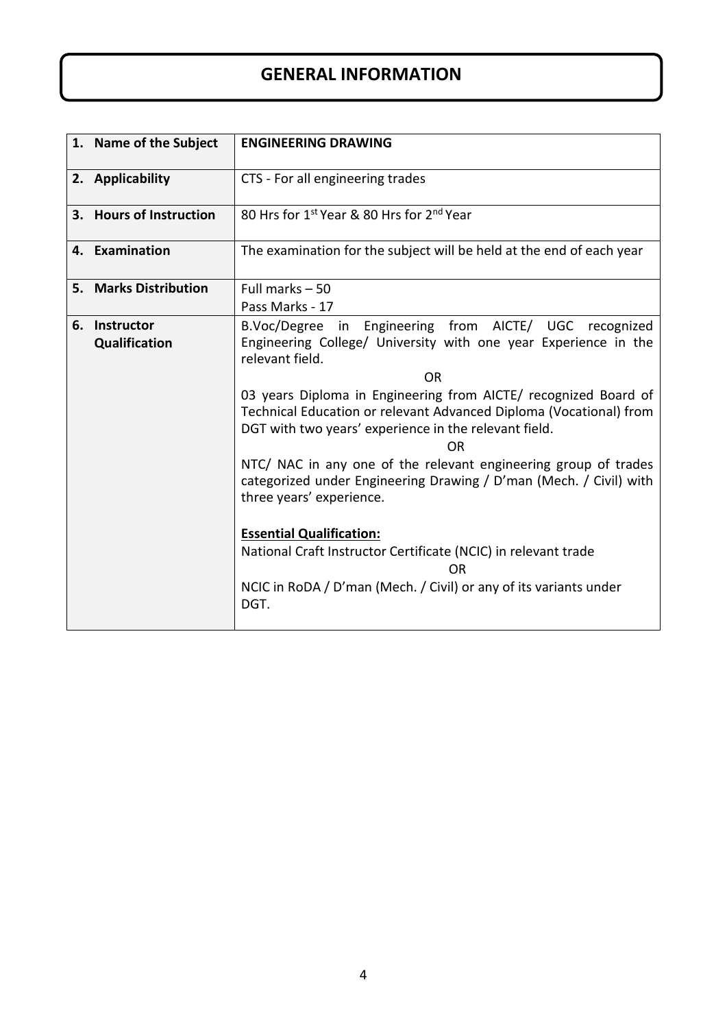### **GENERAL INFORMATION**

| 1. Name of the Subject         | <b>ENGINEERING DRAWING</b>                                                                                                                                                                                                                                                                                                                                                                                                                                                                                                                                                                                                                                                                                                     |
|--------------------------------|--------------------------------------------------------------------------------------------------------------------------------------------------------------------------------------------------------------------------------------------------------------------------------------------------------------------------------------------------------------------------------------------------------------------------------------------------------------------------------------------------------------------------------------------------------------------------------------------------------------------------------------------------------------------------------------------------------------------------------|
| 2. Applicability               | CTS - For all engineering trades                                                                                                                                                                                                                                                                                                                                                                                                                                                                                                                                                                                                                                                                                               |
| 3. Hours of Instruction        | 80 Hrs for 1st Year & 80 Hrs for 2 <sup>nd</sup> Year                                                                                                                                                                                                                                                                                                                                                                                                                                                                                                                                                                                                                                                                          |
| 4. Examination                 | The examination for the subject will be held at the end of each year                                                                                                                                                                                                                                                                                                                                                                                                                                                                                                                                                                                                                                                           |
| 5. Marks Distribution          | Full marks $-50$<br>Pass Marks - 17                                                                                                                                                                                                                                                                                                                                                                                                                                                                                                                                                                                                                                                                                            |
| 6. Instructor<br>Qualification | B.Voc/Degree in Engineering from AICTE/ UGC recognized<br>Engineering College/ University with one year Experience in the<br>relevant field.<br>OR<br>03 years Diploma in Engineering from AICTE/ recognized Board of<br>Technical Education or relevant Advanced Diploma (Vocational) from<br>DGT with two years' experience in the relevant field.<br>0R<br>NTC/ NAC in any one of the relevant engineering group of trades<br>categorized under Engineering Drawing / D'man (Mech. / Civil) with<br>three years' experience.<br><b>Essential Qualification:</b><br>National Craft Instructor Certificate (NCIC) in relevant trade<br><b>OR</b><br>NCIC in RoDA / D'man (Mech. / Civil) or any of its variants under<br>DGT. |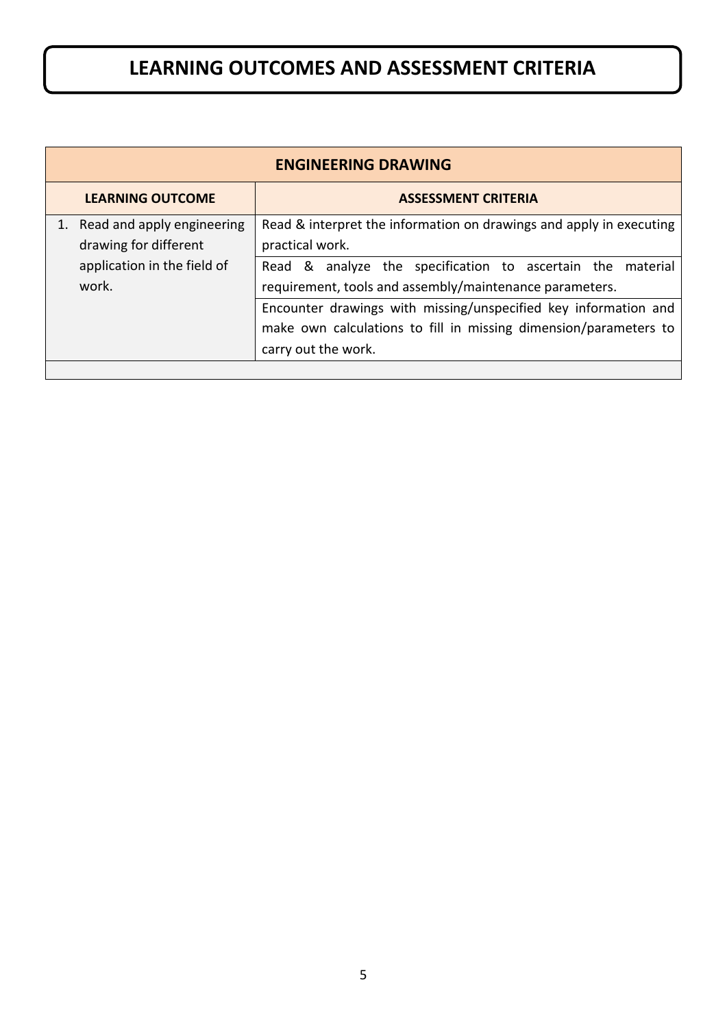# **LEARNING OUTCOMES AND ASSESSMENT CRITERIA**

| <b>ENGINEERING DRAWING</b>                                                                     |                                                                                                                                                                                                                 |  |
|------------------------------------------------------------------------------------------------|-----------------------------------------------------------------------------------------------------------------------------------------------------------------------------------------------------------------|--|
| <b>LEARNING OUTCOME</b>                                                                        | <b>ASSESSMENT CRITERIA</b>                                                                                                                                                                                      |  |
| 1. Read and apply engineering<br>drawing for different<br>application in the field of<br>work. | Read & interpret the information on drawings and apply in executing<br>practical work.<br>Read & analyze the specification to ascertain the material<br>requirement, tools and assembly/maintenance parameters. |  |
|                                                                                                | Encounter drawings with missing/unspecified key information and<br>make own calculations to fill in missing dimension/parameters to<br>carry out the work.                                                      |  |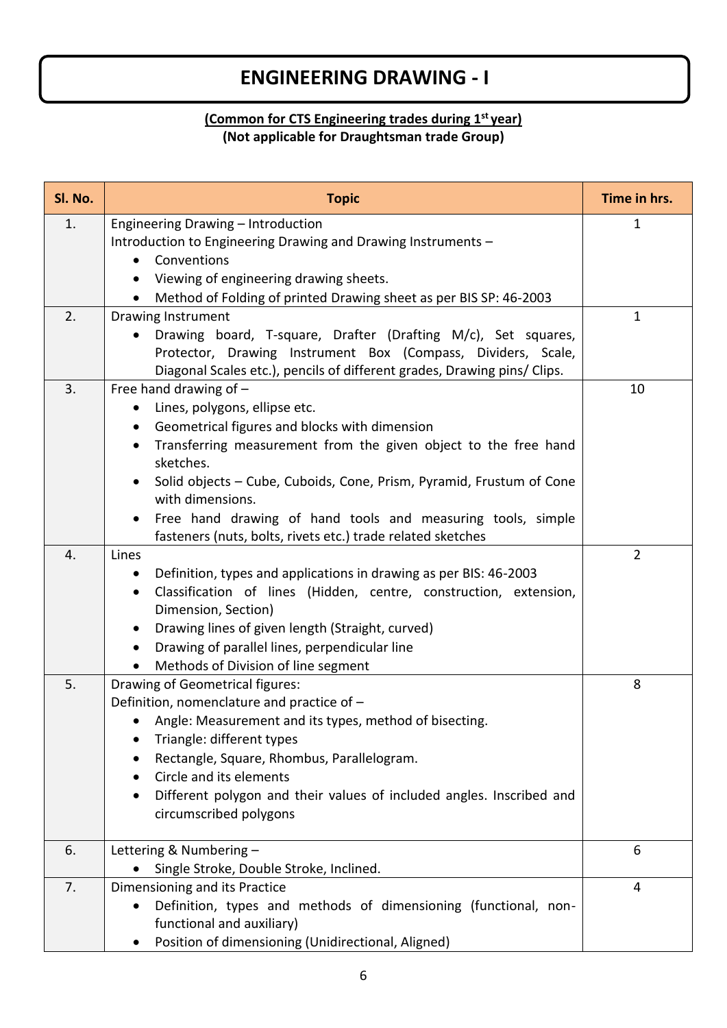## **ENGINEERING DRAWING - I**

#### **(Common for CTS Engineering trades during 1st year) (Not applicable for Draughtsman trade Group)**

| SI. No. | <b>Topic</b>                                                                                                     | Time in hrs.   |
|---------|------------------------------------------------------------------------------------------------------------------|----------------|
| 1.      | Engineering Drawing - Introduction                                                                               | 1              |
|         | Introduction to Engineering Drawing and Drawing Instruments -                                                    |                |
|         | Conventions                                                                                                      |                |
|         | Viewing of engineering drawing sheets.                                                                           |                |
|         | Method of Folding of printed Drawing sheet as per BIS SP: 46-2003                                                |                |
| 2.      | <b>Drawing Instrument</b>                                                                                        | $\mathbf 1$    |
|         | Drawing board, T-square, Drafter (Drafting M/c), Set squares,                                                    |                |
|         | Protector, Drawing Instrument Box (Compass, Dividers, Scale,                                                     |                |
|         | Diagonal Scales etc.), pencils of different grades, Drawing pins/ Clips.                                         |                |
| 3.      | Free hand drawing of $-$                                                                                         | 10             |
|         | Lines, polygons, ellipse etc.                                                                                    |                |
|         | Geometrical figures and blocks with dimension<br>Transferring measurement from the given object to the free hand |                |
|         | sketches.                                                                                                        |                |
|         | Solid objects - Cube, Cuboids, Cone, Prism, Pyramid, Frustum of Cone                                             |                |
|         | with dimensions.                                                                                                 |                |
|         | Free hand drawing of hand tools and measuring tools, simple                                                      |                |
|         | fasteners (nuts, bolts, rivets etc.) trade related sketches                                                      |                |
| 4.      | Lines                                                                                                            | $\overline{2}$ |
|         | Definition, types and applications in drawing as per BIS: 46-2003<br>$\bullet$                                   |                |
|         | Classification of lines (Hidden, centre, construction, extension,<br>$\bullet$                                   |                |
|         | Dimension, Section)                                                                                              |                |
|         | Drawing lines of given length (Straight, curved)                                                                 |                |
|         | Drawing of parallel lines, perpendicular line<br>$\bullet$                                                       |                |
|         | Methods of Division of line segment                                                                              |                |
| 5.      | Drawing of Geometrical figures:                                                                                  | 8              |
|         | Definition, nomenclature and practice of -                                                                       |                |
|         | Angle: Measurement and its types, method of bisecting.                                                           |                |
|         | Triangle: different types<br>Rectangle, Square, Rhombus, Parallelogram.                                          |                |
|         | Circle and its elements                                                                                          |                |
|         | Different polygon and their values of included angles. Inscribed and                                             |                |
|         | circumscribed polygons                                                                                           |                |
|         |                                                                                                                  |                |
| 6.      | Lettering & Numbering -                                                                                          | 6              |
|         | Single Stroke, Double Stroke, Inclined.                                                                          |                |
| 7.      | Dimensioning and its Practice                                                                                    | 4              |
|         | Definition, types and methods of dimensioning (functional, non-<br>$\bullet$                                     |                |
|         | functional and auxiliary)                                                                                        |                |
|         | Position of dimensioning (Unidirectional, Aligned)                                                               |                |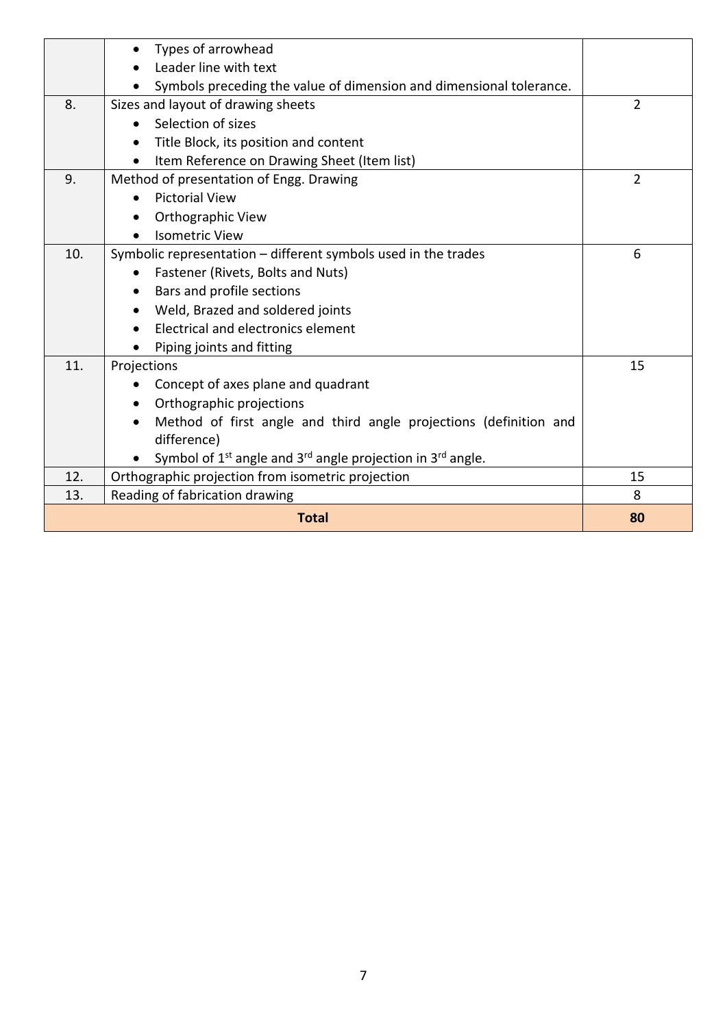|     | Types of arrowhead                                                        |                |
|-----|---------------------------------------------------------------------------|----------------|
|     | Leader line with text                                                     |                |
|     | Symbols preceding the value of dimension and dimensional tolerance.       |                |
| 8.  | Sizes and layout of drawing sheets                                        | $\overline{2}$ |
|     | Selection of sizes                                                        |                |
|     | Title Block, its position and content                                     |                |
|     | Item Reference on Drawing Sheet (Item list)                               |                |
| 9.  | Method of presentation of Engg. Drawing                                   | $\overline{2}$ |
|     | <b>Pictorial View</b>                                                     |                |
|     | Orthographic View                                                         |                |
|     | <b>Isometric View</b>                                                     |                |
| 10. | Symbolic representation - different symbols used in the trades            | 6              |
|     | Fastener (Rivets, Bolts and Nuts)                                         |                |
|     | Bars and profile sections                                                 |                |
|     | Weld, Brazed and soldered joints                                          |                |
|     | Electrical and electronics element                                        |                |
|     | Piping joints and fitting                                                 |                |
| 11. | Projections                                                               | 15             |
|     | Concept of axes plane and quadrant                                        |                |
|     | Orthographic projections                                                  |                |
|     | Method of first angle and third angle projections (definition and         |                |
|     | difference)                                                               |                |
|     | Symbol of $1^{st}$ angle and $3^{rd}$ angle projection in $3^{rd}$ angle. |                |
| 12. | Orthographic projection from isometric projection                         | 15             |
| 13. | Reading of fabrication drawing                                            | 8              |
|     | <b>Total</b>                                                              | 80             |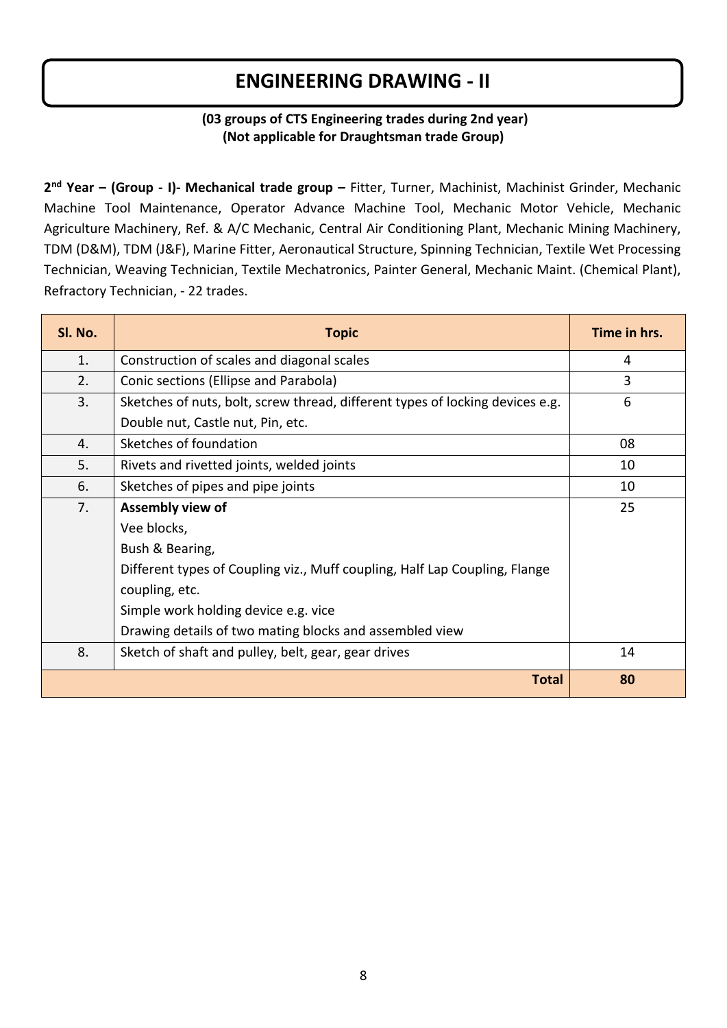## **ENGINEERING DRAWING - II**

#### **(03 groups of CTS Engineering trades during 2nd year) (Not applicable for Draughtsman trade Group)**

**2 nd Year – (Group - I)- Mechanical trade group –** Fitter, Turner, Machinist, Machinist Grinder, Mechanic Machine Tool Maintenance, Operator Advance Machine Tool, Mechanic Motor Vehicle, Mechanic Agriculture Machinery, Ref. & A/C Mechanic, Central Air Conditioning Plant, Mechanic Mining Machinery, TDM (D&M), TDM (J&F), Marine Fitter, Aeronautical Structure, Spinning Technician, Textile Wet Processing Technician, Weaving Technician, Textile Mechatronics, Painter General, Mechanic Maint. (Chemical Plant), Refractory Technician, - 22 trades.

| SI. No. | <b>Topic</b>                                                                  | Time in hrs. |
|---------|-------------------------------------------------------------------------------|--------------|
| 1.      | Construction of scales and diagonal scales                                    | 4            |
| 2.      | Conic sections (Ellipse and Parabola)                                         | 3            |
| 3.      | Sketches of nuts, bolt, screw thread, different types of locking devices e.g. | 6            |
|         | Double nut, Castle nut, Pin, etc.                                             |              |
| 4.      | Sketches of foundation                                                        | 08           |
| 5.      | Rivets and rivetted joints, welded joints                                     | 10           |
| 6.      | Sketches of pipes and pipe joints                                             | 10           |
| 7.      | Assembly view of                                                              | 25           |
|         | Vee blocks,                                                                   |              |
|         | Bush & Bearing,                                                               |              |
|         | Different types of Coupling viz., Muff coupling, Half Lap Coupling, Flange    |              |
|         | coupling, etc.                                                                |              |
|         | Simple work holding device e.g. vice                                          |              |
|         | Drawing details of two mating blocks and assembled view                       |              |
| 8.      | Sketch of shaft and pulley, belt, gear, gear drives                           | 14           |
|         | <b>Total</b>                                                                  | 80           |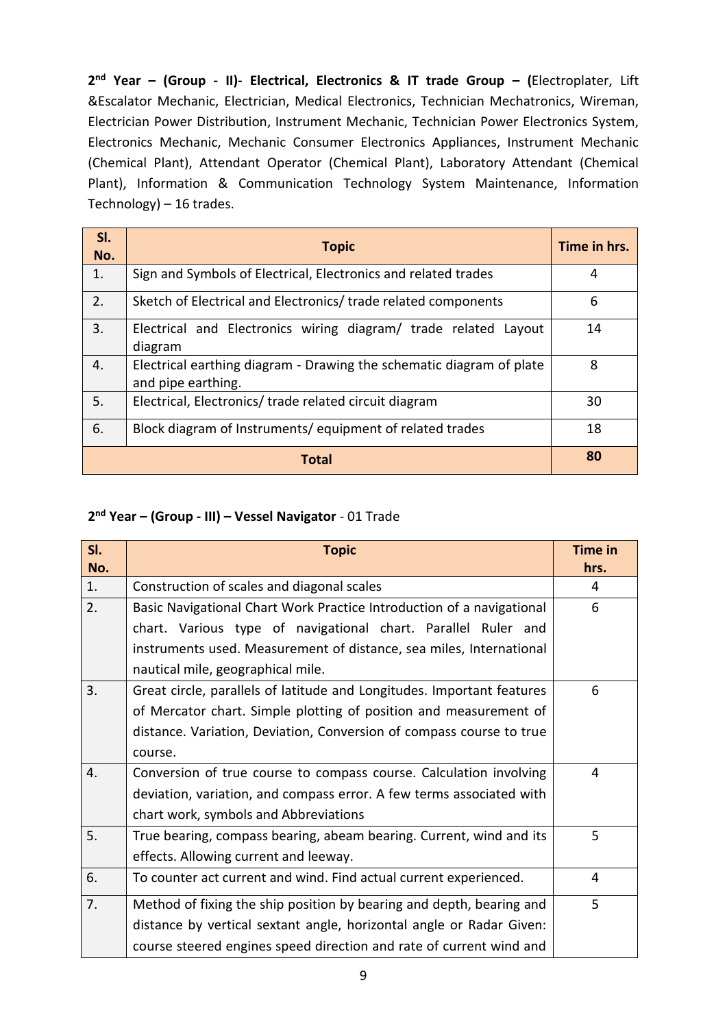**2 nd Year – (Group - II)- Electrical, Electronics & IT trade Group – (**Electroplater, Lift &Escalator Mechanic, Electrician, Medical Electronics, Technician Mechatronics, Wireman, Electrician Power Distribution, Instrument Mechanic, Technician Power Electronics System, Electronics Mechanic, Mechanic Consumer Electronics Appliances, Instrument Mechanic (Chemical Plant), Attendant Operator (Chemical Plant), Laboratory Attendant (Chemical Plant), Information & Communication Technology System Maintenance, Information Technology) – 16 trades.

| SI.<br>No. | <b>Topic</b>                                                                               | Time in hrs. |
|------------|--------------------------------------------------------------------------------------------|--------------|
| 1.         | Sign and Symbols of Electrical, Electronics and related trades                             | 4            |
| 2.         | Sketch of Electrical and Electronics/ trade related components                             | 6            |
| 3.         | Electrical and Electronics wiring diagram/ trade related Layout<br>diagram                 | 14           |
| 4.         | Electrical earthing diagram - Drawing the schematic diagram of plate<br>and pipe earthing. | 8            |
| 5.         | Electrical, Electronics/ trade related circuit diagram                                     | 30           |
| 6.         | Block diagram of Instruments/equipment of related trades                                   | 18           |
|            | <b>Total</b>                                                                               | 80           |

#### **2 nd Year – (Group - III) – Vessel Navigator** - 01 Trade

| SI. | <b>Topic</b>                                                           | <b>Time in</b> |
|-----|------------------------------------------------------------------------|----------------|
| No. |                                                                        | hrs.           |
| 1.  | Construction of scales and diagonal scales                             | 4              |
| 2.  | Basic Navigational Chart Work Practice Introduction of a navigational  | 6              |
|     | chart. Various type of navigational chart. Parallel Ruler and          |                |
|     | instruments used. Measurement of distance, sea miles, International    |                |
|     | nautical mile, geographical mile.                                      |                |
| 3.  | Great circle, parallels of latitude and Longitudes. Important features | 6              |
|     | of Mercator chart. Simple plotting of position and measurement of      |                |
|     | distance. Variation, Deviation, Conversion of compass course to true   |                |
|     | course.                                                                |                |
| 4.  | Conversion of true course to compass course. Calculation involving     | 4              |
|     | deviation, variation, and compass error. A few terms associated with   |                |
|     | chart work, symbols and Abbreviations                                  |                |
| 5.  | True bearing, compass bearing, abeam bearing. Current, wind and its    | 5              |
|     | effects. Allowing current and leeway.                                  |                |
| 6.  | To counter act current and wind. Find actual current experienced.      | 4              |
| 7.  | Method of fixing the ship position by bearing and depth, bearing and   | 5              |
|     | distance by vertical sextant angle, horizontal angle or Radar Given:   |                |
|     | course steered engines speed direction and rate of current wind and    |                |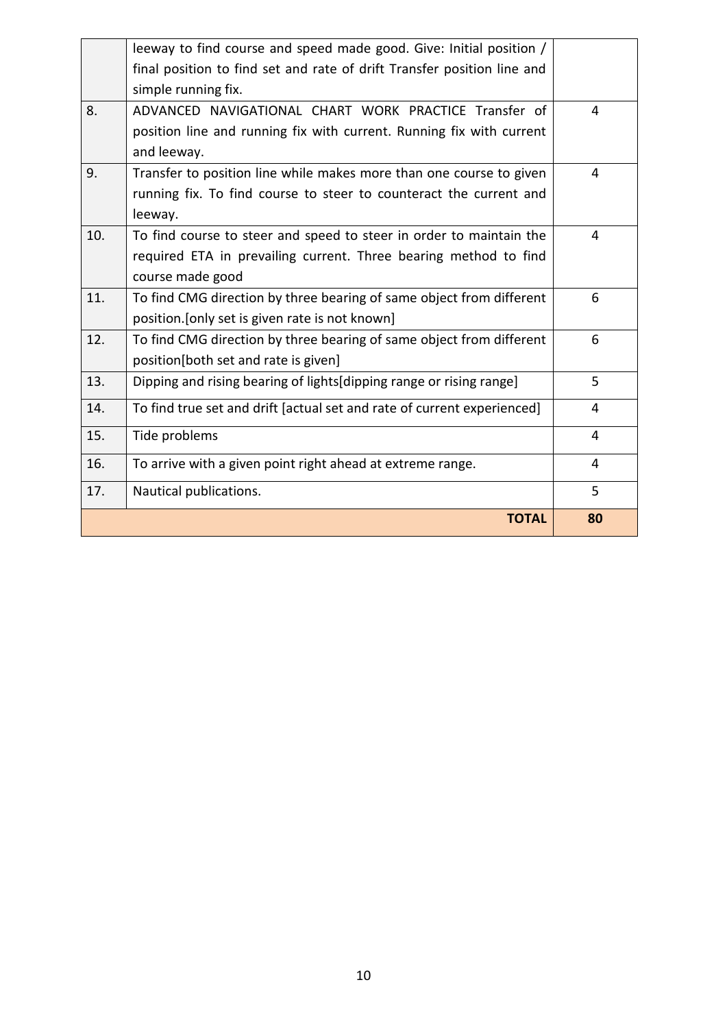|     | <b>TOTAL</b>                                                                                                                            | 80 |
|-----|-----------------------------------------------------------------------------------------------------------------------------------------|----|
| 17. | Nautical publications.                                                                                                                  | 5  |
| 16. | To arrive with a given point right ahead at extreme range.                                                                              | 4  |
| 15. | Tide problems                                                                                                                           | 4  |
| 14. | To find true set and drift [actual set and rate of current experienced]                                                                 | 4  |
| 13. | Dipping and rising bearing of lights dipping range or rising range                                                                      | 5  |
| 12. | To find CMG direction by three bearing of same object from different<br>position[both set and rate is given]                            | 6  |
|     | position. [only set is given rate is not known]                                                                                         |    |
| 11. | To find CMG direction by three bearing of same object from different                                                                    | 6  |
|     | course made good                                                                                                                        |    |
| 10. | To find course to steer and speed to steer in order to maintain the<br>required ETA in prevailing current. Three bearing method to find | 4  |
|     | leeway.                                                                                                                                 |    |
|     | running fix. To find course to steer to counteract the current and                                                                      |    |
| 9.  | Transfer to position line while makes more than one course to given                                                                     | 4  |
|     | and leeway.                                                                                                                             |    |
| 8.  | ADVANCED NAVIGATIONAL CHART WORK PRACTICE Transfer of<br>position line and running fix with current. Running fix with current           | 4  |
|     | simple running fix.                                                                                                                     |    |
|     | final position to find set and rate of drift Transfer position line and                                                                 |    |
|     | leeway to find course and speed made good. Give: Initial position /                                                                     |    |